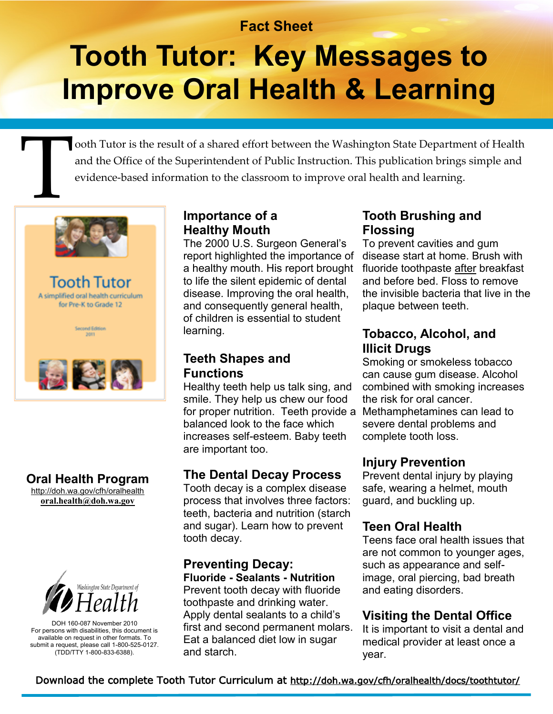## **Fact Sheet**

## **Tooth Tutor: Key Messages to Improve Oral Health & Learning**

T ooth Tutor is the result of a shared effort between the Washington State Department of Health and the Office of the Superintendent of Public Instruction. This publication brings simple and evidence-based information to the classroom to improve oral health and learning.



Tooth Tutor A simplified oral health curriculum for Pre-K to Grade 12



## **Oral Health Program**

[http://doh.wa.gov/cfh/oralhealth](http://doh.wa.gov/cfh/oralhealthm) **[oral.health@doh.wa.gov](mailto:oral.health@doh.wa.gov)**



DOH 160-087 November 2010 For persons with disabilities, this document is available on request in other formats. To submit a request, please call 1-800-525-0127. (TDD/TTY 1-800-833-6388).

#### **Importance of a Healthy Mouth**

The 2000 U.S. Surgeon General's report highlighted the importance of a healthy mouth. His report brought to life the silent epidemic of dental disease. Improving the oral health, and consequently general health, of children is essential to student learning.

#### **Teeth Shapes and Functions**

Healthy teeth help us talk sing, and smile. They help us chew our food for proper nutrition. Teeth provide a Methamphetamines can lead to balanced look to the face which increases self-esteem. Baby teeth are important too.

#### **The Dental Decay Process**

Tooth decay is a complex disease process that involves three factors: teeth, bacteria and nutrition (starch and sugar). Learn how to prevent tooth decay.

#### **Preventing Decay: Fluoride - Sealants - Nutrition**

Prevent tooth decay with fluoride toothpaste and drinking water. Apply dental sealants to a child's first and second permanent molars. Eat a balanced diet low in sugar and starch.

#### **Tooth Brushing and Flossing**

To prevent cavities and gum disease start at home. Brush with fluoride toothpaste after breakfast and before bed. Floss to remove the invisible bacteria that live in the plaque between teeth.

#### **Tobacco, Alcohol, and Illicit Drugs**

Smoking or smokeless tobacco can cause gum disease. Alcohol combined with smoking increases the risk for oral cancer. severe dental problems and complete tooth loss.

#### **Injury Prevention**

Prevent dental injury by playing safe, wearing a helmet, mouth guard, and buckling up.

#### **Teen Oral Health**

Teens face oral health issues that are not common to younger ages, such as appearance and selfimage, oral piercing, bad breath and eating disorders.

## **Visiting the Dental Office**

It is important to visit a dental and medical provider at least once a year.

Download the complete Tooth Tutor Curriculum at [http://doh.wa.gov/cfh/oralhealth/docs/toothtutor/](http://doh.wa.gov/cfh/oralhealth/docs/toothtutor/toothtutor11.pdf)